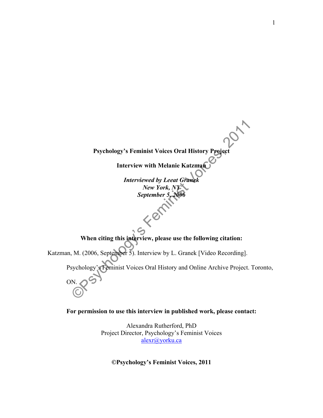**Interview with Melanie Katzman** *Interviewed by Leeat Granek New York, NY September 5,* Fer **When citing this interview, please use the following citation:** Katzman, M. (2006, September 5). Interview by L. Granek [Video Recording]. Psychology's Feminist Voices Oral History and Online Archive Project. Toronto, ON.

**Psychology's Feminist Voices Oral History Project**

**For permission to use this interview in published work, please contact:**

Alexandra Rutherford, PhD Project Director, Psychology's Feminist Voices alexr@yorku.ca

**©Psychology's Feminist Voices, 2011**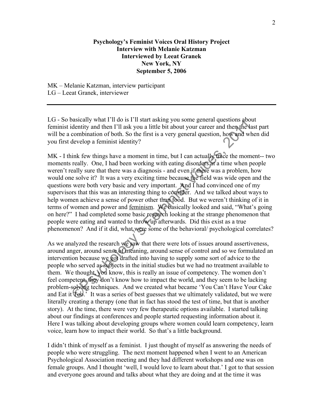## **Psychology's Feminist Voices Oral History Project Interview with Melanie Katzman Interviewed by Leeat Granek New York, NY September 5, 2006**

MK – Melanie Katzman, interview participant LG – Leeat Granek, interviewer

LG - So basically what I'll do is I'll start asking you some general questions about feminist identity and then I'll ask you a little bit about your career and then the last part will be a combination of both. So the first is a very general question, how and when did you first develop a feminist identity?

MK - I think few things have a moment in time, but I can actually trace the moment-- two moments really. One, I had been working with eating disorders at a time when people weren't really sure that there was a diagnosis - and even if there was a problem, how would one solve it? It was a very exciting time because the field was wide open and the questions were both very basic and very important. And I had convinced one of my supervisors that this was an interesting thing to consider. And we talked about ways to help women achieve a sense of power other than food. But we weren't thinking of it in terms of women and power and feminism. We basically looked and said, "What's going on here?" I had completed some basic research looking at the strange phenomenon that people were eating and wanted to throw up afterwards. Did this exist as a true phenomenon? And if it did, what were some of the behavioral/ psychological correlates?

As we analyzed the research we saw that there were lots of issues around assertiveness, around anger, around sense of meaning, around sense of control and so we formulated an intervention because we got drafted into having to supply some sort of advice to the people who served as subjects in the initial studies but we had no treatment available to them. We thought, you know, this is really an issue of competency. The women don't feel competent, they don't know how to impact the world, and they seem to be lacking problem-solving techniques. And we created what became 'You Can't Have Your Cake and Eat it  $\text{Teab}$ . It was a series of best guesses that we ultimately validated, but we were literally creating a therapy (one that in fact has stood the test of time, but that is another story). At the time, there were very few therapeutic options available. I started talking about our findings at conferences and people started requesting information about it. Here I was talking about developing groups where women could learn competency, learn voice, learn how to impact their world. So that's a little background.

I didn't think of myself as a feminist. I just thought of myself as answering the needs of people who were struggling. The next moment happened when I went to an American Psychological Association meeting and they had different workshops and one was on female groups. And I thought 'well, I would love to learn about that.' I got to that session and everyone goes around and talks about what they are doing and at the time it was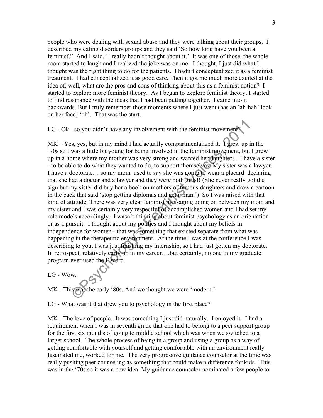people who were dealing with sexual abuse and they were talking about their groups. I described my eating disorders groups and they said 'So how long have you been a feminist?' And I said, 'I really hadn't thought about it.' It was one of those, the whole room started to laugh and I realized the joke was on me. I thought, I just did what I thought was the right thing to do for the patients. I hadn't conceptualized it as a feminist treatment. I had conceptualized it as good care. Then it got me much more excited at the idea of, well, what are the pros and cons of thinking about this as a feminist notion? I started to explore more feminist theory. As I began to explore feminist theory, I started to find resonance with the ideas that I had been putting together. I came into it backwards. But I truly remember those moments where I just went (has an 'ah-hah' look on her face) 'oh'. That was the start.

LG - Ok - so you didn't have any involvement with the feminist movement?

 $MK - Yes$ , yes, but in my mind I had actually compartmentalized it. I grew up in the '70s so I was a little bit young for being involved in the feminist movement, but I grew up in a home where my mother was very strong and wanted her daughters - I have a sister - to be able to do what they wanted to do, to support themselves. My sister was a lawyer. I have a doctorate… so my mom used to say she was going to wear a placard declaring that she had a doctor and a lawyer and they were both girls!! (She never really got the sign but my sister did buy her a book on mothers of famous daughters and drew a cartoon in the back that said 'stop getting diplomas and get a man.') So I was raised with that kind of attitude. There was very clear feminist messaging going on between my mom and my sister and I was certainly very respectful of accomplished women and I had set my role models accordingly. I wasn't thinking about feminist psychology as an orientation or as a pursuit. I thought about my politics and I thought about my beliefs in independence for women - that was something that existed separate from what was happening in the therapeutic environment. At the time I was at the conference I was describing to you, I was just finishing my internship, so I had just gotten my doctorate. In retrospect, relatively early on in my career….but certainly, no one in my graduate program ever used the F word.

LG - Wow.

MK - This was the early '80s. And we thought we were 'modern.'

LG - What was it that drew you to psychology in the first place?

MK - The love of people. It was something I just did naturally. I enjoyed it. I had a requirement when I was in seventh grade that one had to belong to a peer support group for the first six months of going to middle school which was when we switched to a larger school. The whole process of being in a group and using a group as a way of getting comfortable with yourself and getting comfortable with an environment really fascinated me, worked for me. The very progressive guidance counselor at the time was really pushing peer counseling as something that could make a difference for kids. This was in the '70s so it was a new idea. My guidance counselor nominated a few people to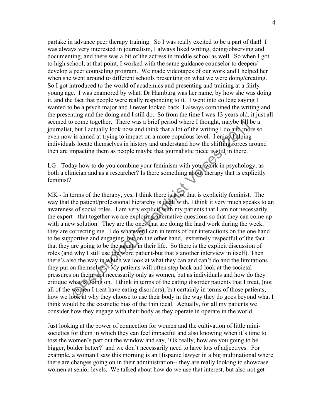partake in advance peer therapy training. So I was really excited to be a part of that! I was always very interested in journalism, I always liked writing, doing/observing and documenting, and there was a bit of the actress in middle school as well. So when I got to high school, at that point, I worked with the same guidance counselor to deepen/ develop a peer counseling program. We made videotapes of our work and I helped her when she went around to different schools presenting on what we were doing/creating. So I got introduced to the world of academics and presenting and training at a fairly young age. I was enamored by what, Dr Hamburg was her name, by how she was doing it, and the fact that people were really responding to it. I went into college saying I wanted to be a psych major and I never looked back. I always combined the writing and the presenting and the doing and I still do. So from the time I was 13 years old, it just all seemed to come together. There was a brief period where I thought, maybe I'll be a journalist, but I actually look now and think that a lot of the writing I do and more so even now is aimed at trying to impact on a more populous level. I enjoy helping individuals locate themselves in history and understand how the shifting forces around then are impacting them as people maybe that journalistic piece is still in there.

LG - Today how to do you combine your feminism with your work in psychology, as both a clinician and as a researcher? Is there something about therapy that is explicitly feminist?

MK - In terms of the therapy, yes, I think there is a lot that is explicitly feminist. The way that the patient/professional hierarchy is dealt with, I think it very much speaks to an awareness of social roles. I am very explicit with my patients that I am not necessarily the expert - that together we are exploring alternative questions so that they can come up with a new solution. They are the ones that are doing the hard work during the week, they are correcting me. I do whatever I can in terms of our interactions on the one hand to be supportive and engaging, but on the other hand, extremely respectful of the fact that they are going to be the agents in their life. So there is the explicit discussion of roles (and why I still use the word patient-but that's another interview in itself). Then there's also the way in which we look at what they can and can't do and the limitations they put on themselves. My patients will often step back and look at the societal pressures on them, not necessarily only as women, but as individuals and how do they critique what is going on. I think in terms of the eating disorder patients that I treat, (not all of the women I treat have eating disorders), but certainly in terms of those patients, how we look at why they choose to use their body in the way they do goes beyond what I think would be the cosmetic bias of the thin ideal. Actually, for all my patients we consider how they engage with their body as they operate in operate in the world.

Just looking at the power of connection for women and the cultivation of little minisocieties for them in which they can feel impactful and also knowing when it's time to toss the women's part out the window and say, 'Ok really, how are you going to be bigger, bolder better?' and we don't necessarily need to have lots of adjectives. For example, a woman I saw this morning is an Hispanic lawyer in a big multinational where there are changes going on in their administration-- they are really looking to showcase women at senior levels. We talked about how do we use that interest, but also not get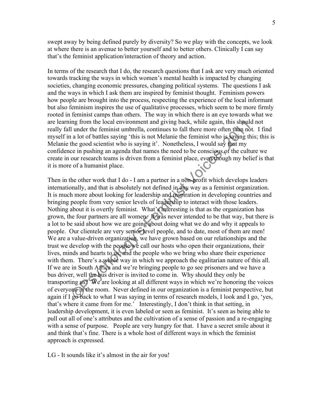swept away by being defined purely by diversity? So we play with the concepts, we look at where there is an avenue to better yourself and to better others. Clinically I can say that's the feminist application/interaction of theory and action.

In terms of the research that I do, the research questions that I ask are very much oriented towards tracking the ways in which women's mental health is impacted by changing societies, changing economic pressures, changing political systems. The questions I ask and the ways in which I ask them are inspired by feminist thought. Feminism powers how people are brought into the process, respecting the experience of the local informant but also feminism inspires the use of qualitative processes, which seem to be more firmly rooted in feminist camps than others. The way in which there is an eye towards what we are learning from the local environment and giving back, while again, this should not really fall under the feminist umbrella, continues to fall there more often than not. I find myself in a lot of battles saying 'this is not Melanie the feminist who is saying this; this is Melanie the good scientist who is saying it'. Nonetheless, I would say that my confidence in pushing an agenda that names the need to be conscious of the culture we create in our research teams is driven from a feminist place, even though my belief is that it is more of a humanist place.

Then in the other work that I do - I am a partner in a non-profit which develops leaders internationally, and that is absolutely not defined in any way as a feminist organization. It is much more about looking for leadership and inspiration in developing countries and bringing people from very senior levels of leadership to interact with those leaders. Nothing about it is overtly feminist. What's interesting is that as the organization has grown, the four partners are all women. It was never intended to be that way, but there is a lot to be said about how we are going about doing what we do and why it appeals to people. Our clientele are very senior level people, and to date, most of them are men! We are a value-driven organization, we have grown based on our relationships and the trust we develop with the people we call our hosts who open their organizations, their lives, minds and hearts to us, and the people who we bring who share their experience with them. There's a whole way in which we approach the egalitarian nature of this all. If we are in South Africa and we're bringing people to go see prisoners and we have a bus driver, well the bus driver is invited to come in. Why should they only be transporting us? We are looking at all different ways in which we're honoring the voices of everyone in the room. Never defined in our organization is a feminist perspective, but again if I go back to what I was saying in terms of research models, I look and I go, 'yes, that's where it came from for me.' Interestingly, I don't think in that setting, in leadership development, it is even labeled or seen as feminist. It's seen as being able to pull out all of one's attributes and the cultivation of a sense of passion and a re-engaging with a sense of purpose. People are very hungry for that. I have a secret smile about it and think that's fine. There is a whole host of different ways in which the feminist approach is expressed.

LG - It sounds like it's almost in the air for you!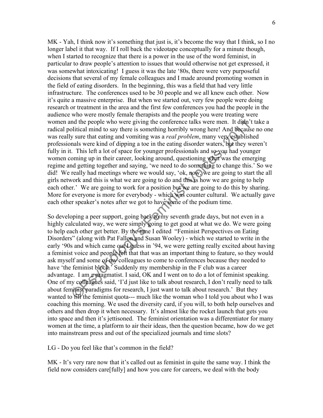MK - Yah, I think now it's something that just is, it's become the way that I think, so I no longer label it that way. If I roll back the videotape conceptually for a minute though, when I started to recognize that there is a power in the use of the word feminist, in particular to draw people's attention to issues that would otherwise not get expressed, it was somewhat intoxicating! I guess it was the late '80s, there were very purposeful decisions that several of my female colleagues and I made around promoting women in the field of eating disorders. In the beginning, this was a field that had very little infrastructure. The conferences used to be 30 people and we all knew each other. Now it's quite a massive enterprise. But when we started out, very few people were doing research or treatment in the area and the first few conferences you had the people in the audience who were mostly female therapists and the people you were treating were women and the people who were giving the conference talks were men. It didn't take a radical political mind to say there is something horribly wrong here! And because no one was really sure that eating and vomiting was a *real problem*, many very established professionals were kind of dipping a toe in the eating disorder waters, but they weren't fully in it. This left a lot of space for younger professionals and so you had younger women coming up in their career, looking around, questioning what was the emerging regime and getting together and saying, 'we need to do something to change this.' So we did! We really had meetings where we would say, 'ok, now, we are going to start the all girls network and this is what we are going to do and this is how we are going to help each other.' We are going to work for a position but we are going to do this by sharing. More for everyone is more for everybody - which was counter cultural. We actually gave each other speaker's notes after we got to have some of the podium time.

So developing a peer support, going back to my seventh grade days, but not even in a highly calculated way, we were simply going to get good at what we do. We were going to help each other get better. By the time I edited "Feminist Perspectives on Eating Disorders" (along with Pat Fallon and Susan Wooley) - which we started to write in the early '90s and which came out Lguess in '94, we were getting really excited about having a feminist voice and people felt that that was an important thing to feature, so they would ask myself and some of my colleagues to come to conferences because they needed to have 'the feminist block.' Suddenly my membership in the F club was a career advantage. I am a pragmatist. I said, OK and I went on to do a lot of feminist speaking. One of my colleagues said, 'I'd just like to talk about research, I don't really need to talk about feminist paradigms for research, I just want to talk about research.' But they wanted to fill the feminist quota--- much like the woman who I told you about who I was coaching this morning. We used the diversity card, if you will, to both help ourselves and others and then drop it when necessary. It's almost like the rocket launch that gets you into space and then it's jettisoned. The feminist orientation was a differentiator for many women at the time, a platform to air their ideas, then the question became, how do we get into mainstream press and out of the specialized journals and time slots?

LG - Do you feel like that's common in the field?

MK - It's very rare now that it's called out as feminist in quite the same way. I think the field now considers care[fully] and how you care for careers, we deal with the body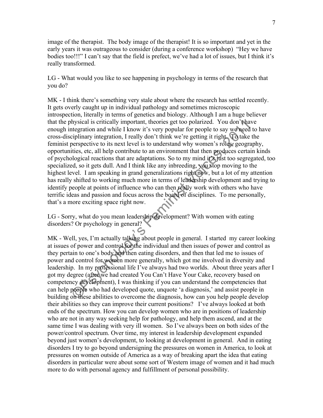image of the therapist. The body image of the therapist! It is so important and yet in the early years it was outrageous to consider (during a conference workshop) "Hey we have bodies too!!!" I can't say that the field is prefect, we've had a lot of issues, but I think it's really transformed.

LG - What would you like to see happening in psychology in terms of the research that you do?

MK - I think there's something very stale about where the research has settled recently. It gets overly caught up in individual pathology and sometimes microscopic introspection, literally in terms of genetics and biology. Although I am a huge believer that the physical is critically important, theories get too polarized. You don't have enough integration and while I know it's very popular for people to say we need to have cross-disciplinary integration, I really don't think we're getting it right. To take the feminist perspective to its next level is to understand why women's roles, geography, opportunities, etc, all help contribute to an environment that then produces certain kinds of psychological reactions that are adaptations. So to my mind it  $\mathcal{S}_i$  just too segregated, too specialized, so it gets dull. And I think like any inbreeding, you stop moving to the highest level. I am speaking in grand generalizations right now, but a lot of my attention has really shifted to working much more in terms of leadership development and trying to identify people at points of influence who can then really work with others who have terrific ideas and passion and focus across the board of disciplines. To me personally, that's a more exciting space right now.

LG - Sorry, what do you mean leadership development? With women with eating disorders? Or psychology in general?

 $\sim$ 

MK - Well, yes, I'm actually talking about people in general. I started my career looking at issues of power and control for the individual and then issues of power and control as they pertain to one's body and then eating disorders, and then that led me to issues of power and control for women more generally, which got me involved in diversity and leadership. In my professional life I've always had two worlds. About three years after I got my degree (after we had created You Can't Have Your Cake, recovery based on competency development), I was thinking if you can understand the competencies that can help people who had developed quote, unquote 'a diagnosis,' and assist people in building on these abilities to overcome the diagnosis, how can you help people develop their abilities so they can improve their current positions? I've always looked at both ends of the spectrum. How you can develop women who are in positions of leadership who are not in any way seeking help for pathology, and help them ascend, and at the same time I was dealing with very ill women. So I've always been on both sides of the power/control spectrum. Over time, my interest in leadership development expanded beyond just women's development, to looking at development in general. And in eating disorders I try to go beyond undersigning the pressures on women in America, to look at pressures on women outside of America as a way of breaking apart the idea that eating disorders in particular were about some sort of Western image of women and it had much more to do with personal agency and fulfillment of personal possibility.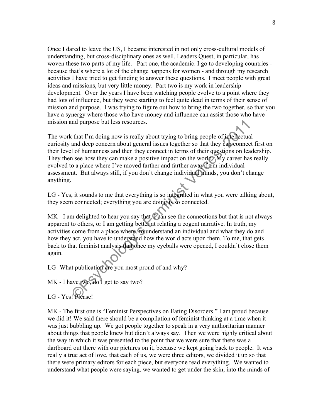Once I dared to leave the US, I became interested in not only cross-cultural models of understanding, but cross-disciplinary ones as well. Leaders Quest, in particular, has woven these two parts of my life. Part one, the academic. I go to developing countries because that's where a lot of the change happens for women - and through my research activities I have tried to get funding to answer these questions. I meet people with great ideas and missions, but very little money. Part two is my work in leadership development. Over the years I have been watching people evolve to a point where they had lots of influence, but they were starting to feel quite dead in terms of their sense of mission and purpose. I was trying to figure out how to bring the two together, so that you have a synergy where those who have money and influence can assist those who have mission and purpose but less resources.

The work that I'm doing now is really about trying to bring people of intellectual curiosity and deep concern about general issues together so that they can connect first on their level of humanness and then they connect in terms of their questions on leadership. They then see how they can make a positive impact on the world. My career has really evolved to a place where I've moved farther and farther away from individual assessment. But always still, if you don't change individual minds, you don't change anything.

LG - Yes, it sounds to me that everything is so integrated in what you were talking about, they seem connected; everything you are doing is so connected.

 $MK - I$  am delighted to hear you say that.  $V$  can see the connections but that is not always apparent to others, or I am getting better at relating a cogent narrative. In truth, my activities come from a place where, to understand an individual and what they do and how they act, you have to understand how the world acts upon them. To me, that gets back to that feminist analysis that once my eyeballs were opened, I couldn't close them again.

LG -What publication are you most proud of and why?

MK - I have two, do I get to say two?

LG - Yes! Please!

MK - The first one is "Feminist Perspectives on Eating Disorders." I am proud because we did it! We said there should be a compilation of feminist thinking at a time when it was just bubbling up. We got people together to speak in a very authoritarian manner about things that people knew but didn't always say. Then we were highly critical about the way in which it was presented to the point that we were sure that there was a dartboard out there with our pictures on it, because we kept going back to people. It was really a true act of love, that each of us, we were three editors, we divided it up so that there were primary editors for each piece, but everyone read everything. We wanted to understand what people were saying, we wanted to get under the skin, into the minds of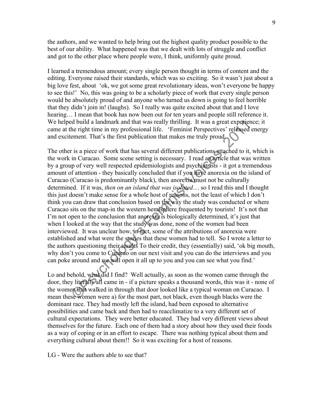the authors, and we wanted to help bring out the highest quality product possible to the best of our ability. What happened was that we dealt with lots of struggle and conflict and got to the other place where people were, I think, uniformly quite proud.

I learned a tremendous amount; every single person thought in terms of content and the editing. Everyone raised their standards, which was so exciting. So it wasn't just about a big love fest, about 'ok, we got some great revolutionary ideas, won't everyone be happy to see this!' No, this was going to be a scholarly piece of work that every single person would be absolutely proud of and anyone who turned us down is going to feel horrible that they didn't join in! (laughs). So I really was quite excited about that and I love hearing... I mean that book has now been out for ten years and people still reference it. We helped build a landmark and that was really thrilling. It was a great experience; it came at the right time in my professional life. 'Feminist Perspectives' released energy and excitement. That's the first publication that makes me truly proud.

The other is a piece of work that has several different publications attached to it, which is the work in Curacao. Some scene setting is necessary. I read an article that was written by a group of very well respected epidemiologists and psychiatrists - it got a tremendous amount of attention - they basically concluded that if you have anorexia on the island of Curacao (Curacao is predominantly black), then anorexia must not be culturally determined. If it was, *then on an island that was isolated*… so I read this and I thought this just doesn't make sense for a whole host of reasons, not the least of which I don't think you can draw that conclusion based on the way the study was conducted or where Curacao sits on the map-in the western hemisphere frequented by tourists! It's not that I'm not open to the conclusion that anorexia is biologically determined, it's just that when I looked at the way that the study was done, none of the women had been interviewed. It was unclear how, in fact, some of the attributions of anorexia were established and what were the stories that these women had to tell. So I wrote a letter to the authors questioning their results To their credit, they (essentially) said, 'ok big mouth, why don't you come to Curacao on our next visit and you can do the interviews and you can poke around and we will open it all up to you and you can see what you find.'

Lo and behold, what did I find? Well actually, as soon as the women came through the door, they literally all came in - if a picture speaks a thousand words, this was it - none of the women that walked in through that door looked like a typical woman on Curacao. I mean these women were a) for the most part, not black, even though blacks were the dominant race. They had mostly left the island, had been exposed to alternative possibilities and came back and then had to reacclimatize to a very different set of cultural expectations. They were better educated. They had very different views about themselves for the future. Each one of them had a story about how they used their foods as a way of coping or in an effort to escape. There was nothing typical about them and everything cultural about them!! So it was exciting for a host of reasons.

LG - Were the authors able to see that?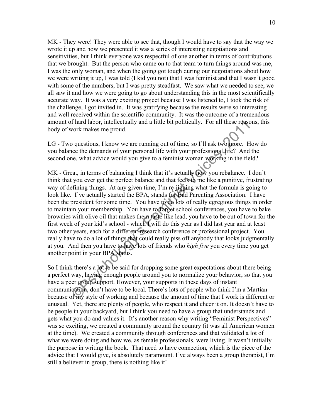MK - They were! They were able to see that, though I would have to say that the way we wrote it up and how we presented it was a series of interesting negotiations and sensitivities, but I think everyone was respectful of one another in terms of contributions that we brought. But the person who came on to that team to turn things around was me, I was the only woman, and when the going got tough during our negotiations about how we were writing it up, I was told (I kid you not) that I was feminist and that I wasn't good with some of the numbers, but I was pretty steadfast. We saw what we needed to see, we all saw it and how we were going to go about understanding this in the most scientifically accurate way. It was a very exciting project because I was listened to, I took the risk of the challenge, I got invited in. It was gratifying because the results were so interesting and well received within the scientific community. It was the outcome of a tremendous amount of hard labor, intellectually and a little bit politically. For all these reasons, this body of work makes me proud.

LG - Two questions, I know we are running out of time, so I'll ask two more. How do you balance the demands of your personal life with your professional life? And the second one, what advice would you give to a feminist woman working in the field?

MK - Great, in terms of balancing I think that it's actually how you rebalance. I don't think that you ever get the perfect balance and that feels to me like a punitive, frustrating way of defining things. At any given time, I'm re-jigging what the formula is going to look like. I've actually started the BPA, stands for Bad Parenting Association. I have been the president for some time. You have to do lots of really egregious things in order to maintain your membership. You have to forget school conferences, you have to bake brownies with olive oil that makes them taste like lead, you have to be out of town for the first week of your kid's school - which I will do this year as I did last year and at least two other years, each for a different research conference or professional project. You really have to do a lot of things that could really piss off anybody that looks judgmentally at you. And then you have to have lots of friends who *high five* you every time you get another point in your BPA status.

So I think there's a lot to be said for dropping some great expectations about there being a perfect way, having enough people around you to normalize your behavior, so that you have a peer group support. However, your supports in these days of instant communication, don't have to be local. There's lots of people who think I'm a Martian because of my style of working and because the amount of time that I work is different or unusual. Yet, there are plenty of people, who respect it and cheer it on. It doesn't have to be people in your backyard, but I think you need to have a group that understands and gets what you do and values it. It's another reason why writing "Feminist Perspectives" was so exciting, we created a community around the country (it was all American women at the time). We created a community through conferences and that validated a lot of what we were doing and how we, as female professionals, were living. It wasn't initially the purpose in writing the book. That need to have connection, which is the piece of the advice that I would give, is absolutely paramount. I've always been a group therapist, I'm still a believer in group, there is nothing like it!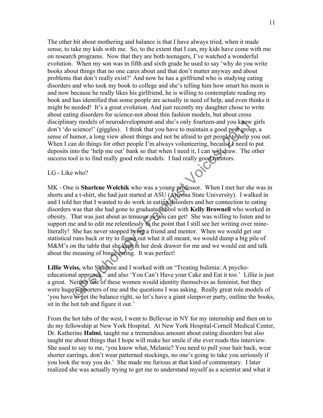The other bit about mothering and balance is that I have always tried, when it made sense, to take my kids with me. So, to the extent that I can, my kids have come with me on research programs. Now that they are both teenagers, I've watched a wonderful evolution. When my son was in fifth and sixth grade he used to say 'why do you write books about things that no one cares about and that don't matter anyway and about problems that don't really exist?' And now he has a girlfriend who is studying eating disorders and who took my book to college and she's telling him how smart his mom is and now because he really likes his girlfriend, he is willing to contemplate reading my book and has identified that some people are actually in need of help, and even thinks it might be needed! It's a great evolution. And just recently my daughter chose to write about eating disorders for science-not about thin fashion models, but about cross disciplinary models of neurodevelopment-and she's only fourteen-and you know girls don't 'do science!' (giggles). I think that you have to maintain a good peer group, a sense of humor, a long view about things and not be afraid to get people to help you out. When I can do things for other people I'm always volunteering, because I need to put deposits into the 'help me out' bank so that when I need it, I can withdraw. The other success tool is to find really good role models. I had really good mentors.

LG - Like who?

MK - One is **Sharlene Wolchik** who was a young professor. When I met her she was in shorts and a t-shirt, she had just started at ASU (Arizona State University). I walked in and I told her that I wanted to do work in eating disorders and her connection to eating disorders was that she had gone to graduate school with **Kelly Brownell** who worked in obesity. That was just about as tenuous as you can get! She was willing to listen and to support me and to edit me relentlessly to the point that I still see her writing over mineliterally! She has never stopped being a friend and mentor. When we would get our statistical runs back or try to figure out what it all meant, we would dump a big pile of M&M's on the table that she kept in her desk drawer for me and we would eat and talk about the meaning of binge eating. It was perfect!

**Lillie Weiss,** who Sharlene and I worked with on "Treating bulimia: A psychoeducational approach," and also 'You Can't Have your Cake and Eat it too.' Lillie is just a great. Neither one of these women would identity themselves as feminist, but they were huge supporters of me and the questions I was asking. Really great role models of 'you have to get the balance right, so let's have a giant sleepover party, outline the books, sit in the hot tub and figure it out.'

From the hot tubs of the west, I went to Bellevue in NY for my internship and then on to do my fellowship at New York Hospital. At New York Hospital-Cornell Medical Center, Dr. Katherine **Halmi**, taught me a tremendous amount about eating disorders but also taught me about things that I hope will make her smile if she ever reads this interview. She used to say to me, 'you know what, Melanie? You need to pull your hair back, wear shorter earrings, don't wear patterned stockings, no one's going to take you seriously if you look the way you do.' She made me furious at that kind of commentary. I later realized she was actually trying to get me to understand myself as a scientist and what it